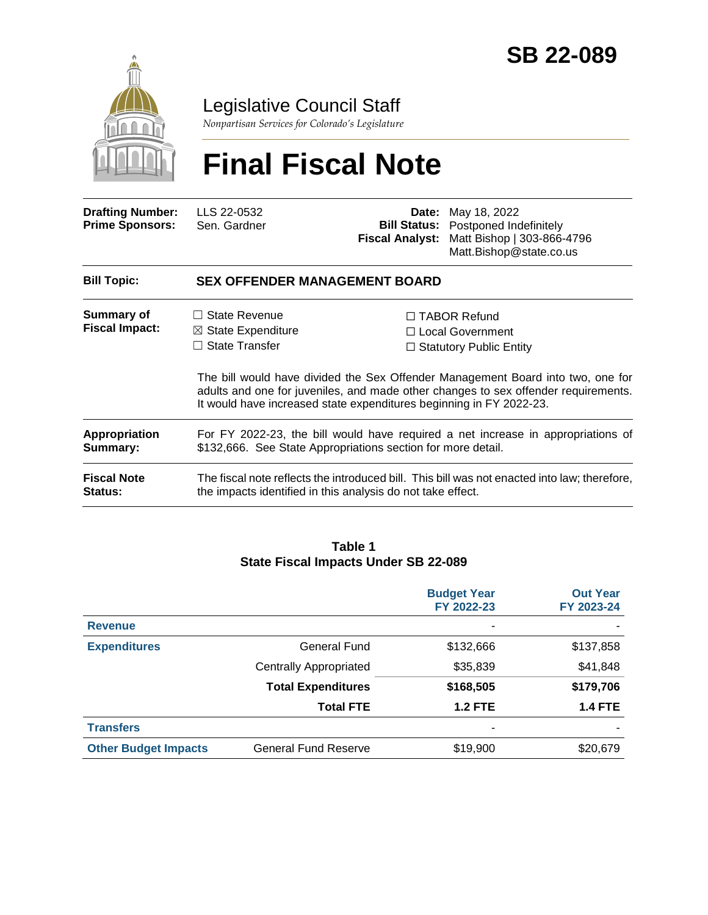

### Legislative Council Staff

*Nonpartisan Services for Colorado's Legislature*

# **Final Fiscal Note**

| <b>Drafting Number:</b><br><b>Prime Sponsors:</b> | LLS 22-0532<br>Sen. Gardner                                                                                                                                                                                                                  | Date:<br><b>Bill Status:</b><br><b>Fiscal Analyst:</b> | May 18, 2022<br>Postponed Indefinitely<br>Matt Bishop   303-866-4796<br>Matt.Bishop@state.co.us |  |
|---------------------------------------------------|----------------------------------------------------------------------------------------------------------------------------------------------------------------------------------------------------------------------------------------------|--------------------------------------------------------|-------------------------------------------------------------------------------------------------|--|
| <b>Bill Topic:</b>                                | <b>SEX OFFENDER MANAGEMENT BOARD</b>                                                                                                                                                                                                         |                                                        |                                                                                                 |  |
| Summary of<br><b>Fiscal Impact:</b>               | $\Box$ State Revenue<br>$\boxtimes$ State Expenditure<br>State Transfer<br>П                                                                                                                                                                 |                                                        | $\Box$ TABOR Refund<br>$\Box$ Local Government<br>$\Box$ Statutory Public Entity                |  |
|                                                   | The bill would have divided the Sex Offender Management Board into two, one for<br>adults and one for juveniles, and made other changes to sex offender requirements.<br>It would have increased state expenditures beginning in FY 2022-23. |                                                        |                                                                                                 |  |
| Appropriation<br>Summary:                         | For FY 2022-23, the bill would have required a net increase in appropriations of<br>\$132,666. See State Appropriations section for more detail.                                                                                             |                                                        |                                                                                                 |  |
| <b>Fiscal Note</b><br><b>Status:</b>              | The fiscal note reflects the introduced bill. This bill was not enacted into law; therefore,<br>the impacts identified in this analysis do not take effect.                                                                                  |                                                        |                                                                                                 |  |

#### **Table 1 State Fiscal Impacts Under SB 22-089**

|                             |                               | <b>Budget Year</b><br>FY 2022-23 | <b>Out Year</b><br>FY 2023-24 |
|-----------------------------|-------------------------------|----------------------------------|-------------------------------|
| <b>Revenue</b>              |                               | ۰                                |                               |
| <b>Expenditures</b>         | General Fund                  | \$132,666                        | \$137,858                     |
|                             | <b>Centrally Appropriated</b> | \$35,839                         | \$41,848                      |
|                             | <b>Total Expenditures</b>     | \$168,505                        | \$179,706                     |
|                             | <b>Total FTE</b>              | <b>1.2 FTE</b>                   | <b>1.4 FTE</b>                |
| <b>Transfers</b>            |                               | ۰                                |                               |
| <b>Other Budget Impacts</b> | <b>General Fund Reserve</b>   | \$19,900                         | \$20,679                      |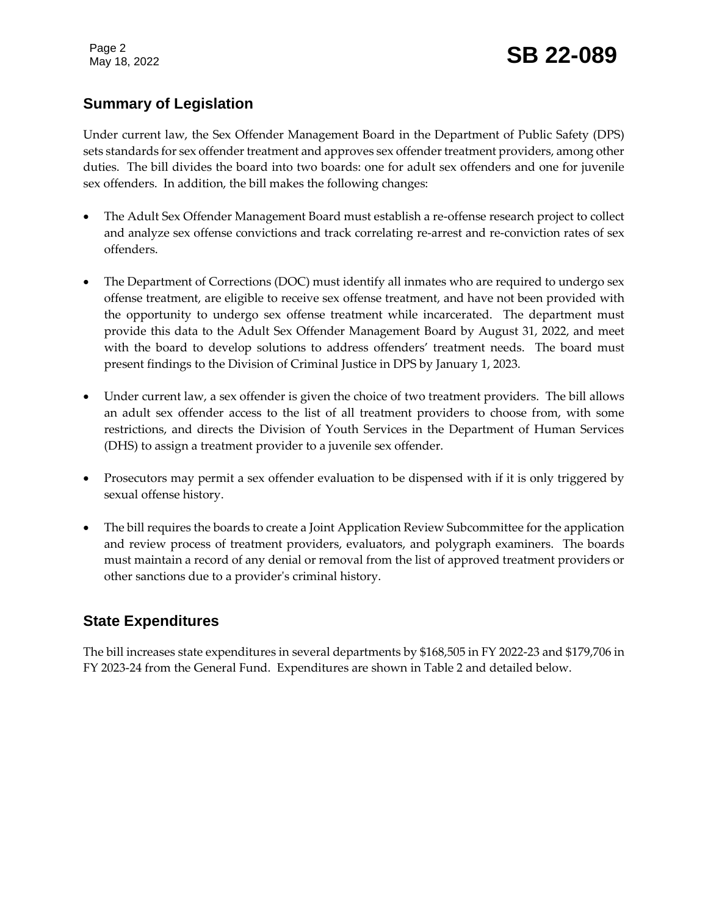Page 2

### **Summary of Legislation**

Under current law, the Sex Offender Management Board in the Department of Public Safety (DPS) sets standards for sex offender treatment and approves sex offender treatment providers, among other duties. The bill divides the board into two boards: one for adult sex offenders and one for juvenile sex offenders. In addition, the bill makes the following changes:

- The Adult Sex Offender Management Board must establish a re-offense research project to collect and analyze sex offense convictions and track correlating re-arrest and re-conviction rates of sex offenders.
- The Department of Corrections (DOC) must identify all inmates who are required to undergo sex offense treatment, are eligible to receive sex offense treatment, and have not been provided with the opportunity to undergo sex offense treatment while incarcerated. The department must provide this data to the Adult Sex Offender Management Board by August 31, 2022, and meet with the board to develop solutions to address offenders' treatment needs. The board must present findings to the Division of Criminal Justice in DPS by January 1, 2023.
- Under current law, a sex offender is given the choice of two treatment providers. The bill allows an adult sex offender access to the list of all treatment providers to choose from, with some restrictions, and directs the Division of Youth Services in the Department of Human Services (DHS) to assign a treatment provider to a juvenile sex offender.
- Prosecutors may permit a sex offender evaluation to be dispensed with if it is only triggered by sexual offense history.
- The bill requires the boards to create a Joint Application Review Subcommittee for the application and review process of treatment providers, evaluators, and polygraph examiners. The boards must maintain a record of any denial or removal from the list of approved treatment providers or other sanctions due to a provider's criminal history.

#### **State Expenditures**

The bill increases state expenditures in several departments by \$168,505 in FY 2022-23 and \$179,706 in FY 2023-24 from the General Fund. Expenditures are shown in Table 2 and detailed below.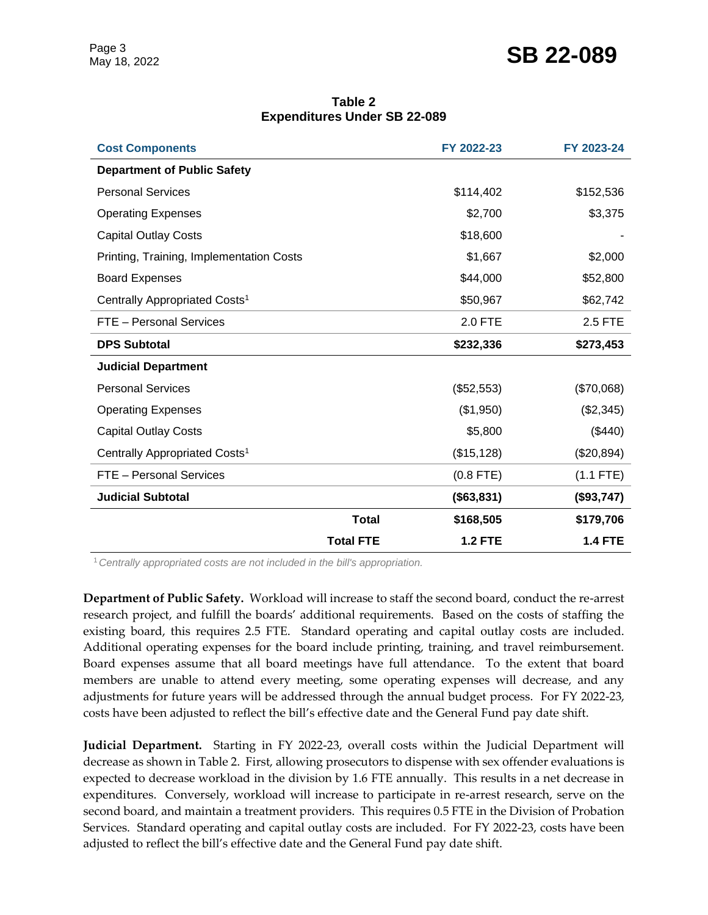## Page 3<br>May 18, 2022 **SB 22-089**

| Table 2                             |  |  |  |  |  |  |
|-------------------------------------|--|--|--|--|--|--|
| <b>Expenditures Under SB 22-089</b> |  |  |  |  |  |  |

| <b>Cost Components</b>                    |                  | FY 2022-23     | FY 2023-24     |
|-------------------------------------------|------------------|----------------|----------------|
| <b>Department of Public Safety</b>        |                  |                |                |
| <b>Personal Services</b>                  |                  | \$114,402      | \$152,536      |
| <b>Operating Expenses</b>                 |                  | \$2,700        | \$3,375        |
| <b>Capital Outlay Costs</b>               |                  | \$18,600       |                |
| Printing, Training, Implementation Costs  |                  | \$1,667        | \$2,000        |
| <b>Board Expenses</b>                     |                  | \$44,000       | \$52,800       |
| Centrally Appropriated Costs <sup>1</sup> |                  | \$50,967       | \$62,742       |
| FTE - Personal Services                   |                  | <b>2.0 FTE</b> | 2.5 FTE        |
| <b>DPS Subtotal</b>                       |                  | \$232,336      | \$273,453      |
| <b>Judicial Department</b>                |                  |                |                |
| <b>Personal Services</b>                  |                  | (\$52,553)     | (\$70,068)     |
| <b>Operating Expenses</b>                 |                  | (\$1,950)      | (\$2,345)      |
| <b>Capital Outlay Costs</b>               |                  | \$5,800        | (\$440)        |
| Centrally Appropriated Costs <sup>1</sup> |                  | (\$15, 128)    | (\$20,894)     |
| FTE - Personal Services                   |                  | $(0.8$ FTE)    | $(1.1$ FTE)    |
| <b>Judicial Subtotal</b>                  |                  | (\$63,831)     | (\$93,747)     |
|                                           | <b>Total</b>     | \$168,505      | \$179,706      |
|                                           | <b>Total FTE</b> | <b>1.2 FTE</b> | <b>1.4 FTE</b> |

<sup>1</sup>*Centrally appropriated costs are not included in the bill's appropriation.*

**Department of Public Safety.** Workload will increase to staff the second board, conduct the re-arrest research project, and fulfill the boards' additional requirements. Based on the costs of staffing the existing board, this requires 2.5 FTE. Standard operating and capital outlay costs are included. Additional operating expenses for the board include printing, training, and travel reimbursement. Board expenses assume that all board meetings have full attendance. To the extent that board members are unable to attend every meeting, some operating expenses will decrease, and any adjustments for future years will be addressed through the annual budget process. For FY 2022-23, costs have been adjusted to reflect the bill's effective date and the General Fund pay date shift.

**Judicial Department.** Starting in FY 2022-23, overall costs within the Judicial Department will decrease as shown in Table 2. First, allowing prosecutors to dispense with sex offender evaluations is expected to decrease workload in the division by 1.6 FTE annually. This results in a net decrease in expenditures. Conversely, workload will increase to participate in re-arrest research, serve on the second board, and maintain a treatment providers. This requires 0.5 FTE in the Division of Probation Services. Standard operating and capital outlay costs are included. For FY 2022-23, costs have been adjusted to reflect the bill's effective date and the General Fund pay date shift.